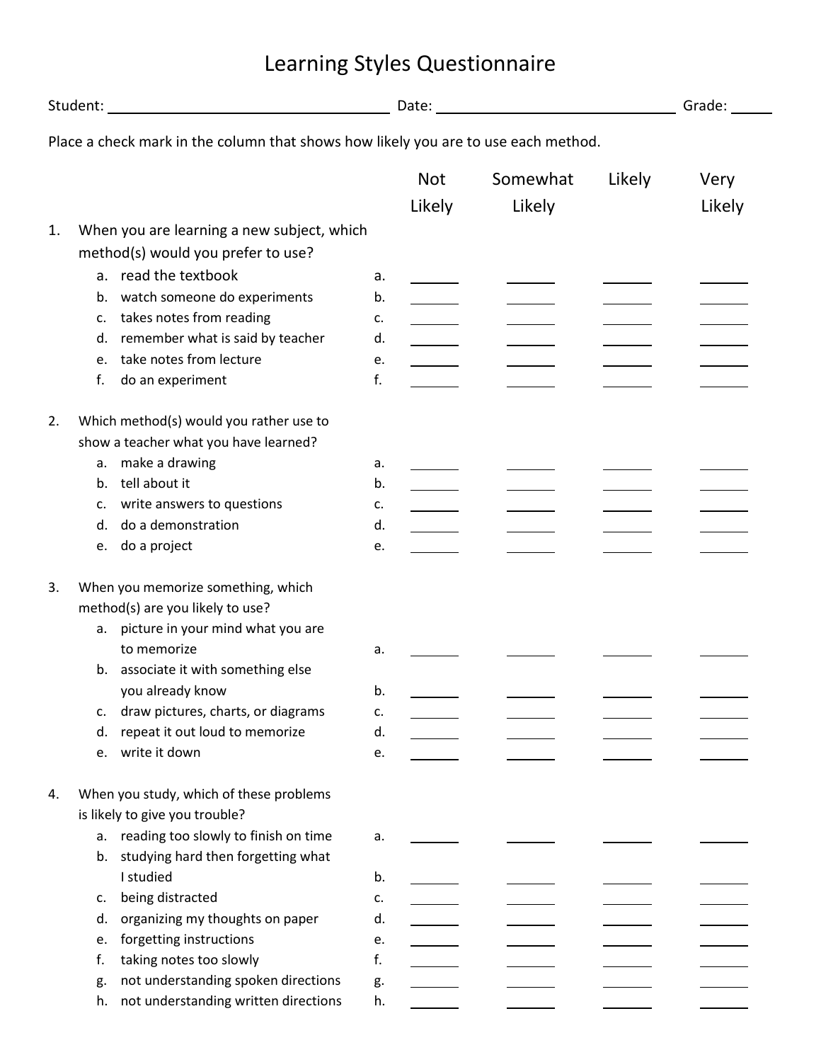## Student: Date: Grade: Place a check mark in the column that shows how likely you are to use each method. Not Somewhat Likely Very Likely Likely Likely 1. When you are learning a new subject, which method(s) would you prefer to use? a. read the textbook a. b. watch someone do experiments b. c. takes notes from reading example of the c. d. remember what is said by teacher d. e. take notes from lecture e. f. do an experiment f. 2. Which method(s) would you rather use to show a teacher what you have learned? a. make a drawing a state of the state of the state of the state of the state of the state of the state of the state of the state of the state of the state of the state of the state of the state of the state of the state o b. tell about it b. c. write answers to questions c. d. do a demonstration d. e. do a project e. 3. When you memorize something, which method(s) are you likely to use? a. picture in your mind what you are to memorize a. b. associate it with something else you already know b. c. draw pictures, charts, or diagrams c. d. repeat it out loud to memorize d. e. write it down e. 4. When you study, which of these problems is likely to give you trouble? a. reading too slowly to finish on time a. b. studying hard then forgetting what I studied b. c. being distracted c. d. organizing my thoughts on paper d. e. forgetting instructions e. f. taking notes too slowly f. g. not understanding spoken directions g. h. not understanding written directions h.

## Learning Styles Questionnaire